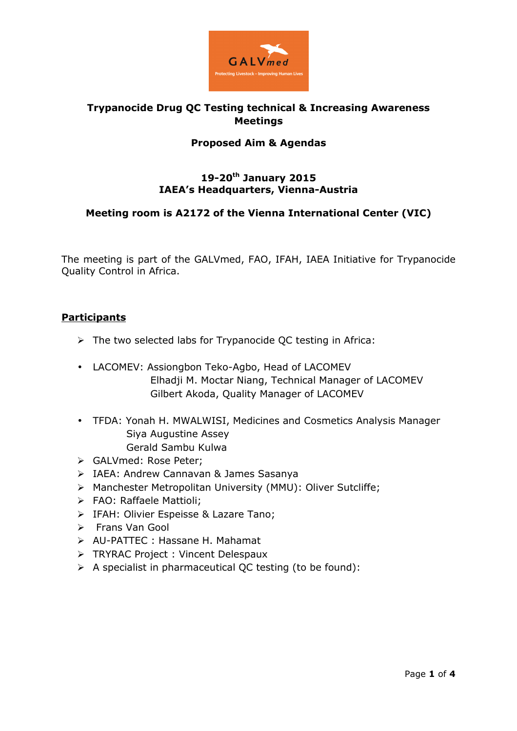

## **Trypanocide Drug QC Testing technical & Increasing Awareness Meetings**

### **Proposed Aim & Agendas**

#### **19-20th January 2015 IAEA's Headquarters, Vienna-Austria**

#### **Meeting room is A2172 of the Vienna International Center (VIC)**

The meeting is part of the GALVmed, FAO, IFAH, IAEA Initiative for Trypanocide Quality Control in Africa.

#### **Participants**

- $\triangleright$  The two selected labs for Trypanocide QC testing in Africa:
- LACOMEV: Assiongbon Teko-Agbo, Head of LACOMEV Elhadji M. Moctar Niang, Technical Manager of LACOMEV Gilbert Akoda, Quality Manager of LACOMEV
- TFDA: Yonah H. MWALWISI, Medicines and Cosmetics Analysis Manager Siya Augustine Assey Gerald Sambu Kulwa
- GALVmed: Rose Peter;
- > IAEA: Andrew Cannavan & James Sasanya
- Manchester Metropolitan University (MMU): Oliver Sutcliffe;
- > FAO: Raffaele Mattioli:
- **FAH: Olivier Espeisse & Lazare Tano;**
- Frans Van Gool
- AU-PATTEC : Hassane H. Mahamat
- **FRYRAC Project : Vincent Delespaux**
- $\triangleright$  A specialist in pharmaceutical QC testing (to be found):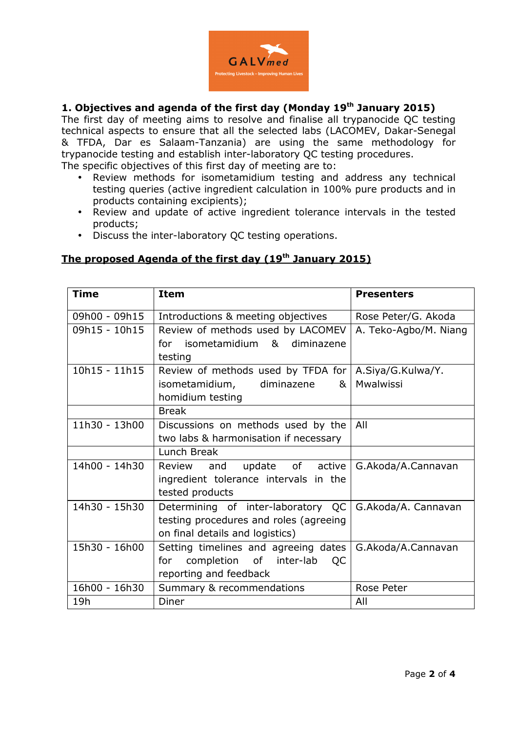

### **1. Objectives and agenda of the first day (Monday 19 th January 2015)**

The first day of meeting aims to resolve and finalise all trypanocide QC testing technical aspects to ensure that all the selected labs (LACOMEV, Dakar-Senegal & TFDA, Dar es Salaam-Tanzania) are using the same methodology for trypanocide testing and establish inter-laboratory QC testing procedures.

The specific objectives of this first day of meeting are to:

- Review methods for isometamidium testing and address any technical testing queries (active ingredient calculation in 100% pure products and in products containing excipients);
- Review and update of active ingredient tolerance intervals in the tested products;
- Discuss the inter-laboratory QC testing operations.

## **The proposed Agenda of the first day (19th January 2015)**

| Time            | <b>Item</b>                            | <b>Presenters</b>     |
|-----------------|----------------------------------------|-----------------------|
| 09h00 - 09h15   | Introductions & meeting objectives     | Rose Peter/G. Akoda   |
| 09h15 - 10h15   | Review of methods used by LACOMEV      | A. Teko-Agbo/M. Niang |
|                 | for isometamidium & diminazene         |                       |
|                 | testing                                |                       |
| $10h15 - 11h15$ | Review of methods used by TFDA for     | A.Siya/G.Kulwa/Y.     |
|                 | isometamidium,<br>diminazene<br>&      | Mwalwissi             |
|                 | homidium testing                       |                       |
|                 | <b>Break</b>                           |                       |
| 11h30 - 13h00   | Discussions on methods used by the     | All                   |
|                 | two labs & harmonisation if necessary  |                       |
|                 | Lunch Break                            |                       |
| 14h00 - 14h30   | update of active<br>and<br>Review      | G.Akoda/A.Cannavan    |
|                 | ingredient tolerance intervals in the  |                       |
|                 | tested products                        |                       |
| 14h30 - 15h30   | Determining of inter-laboratory QC     | G.Akoda/A. Cannavan   |
|                 | testing procedures and roles (agreeing |                       |
|                 | on final details and logistics)        |                       |
| 15h30 - 16h00   | Setting timelines and agreeing dates   | G.Akoda/A.Cannavan    |
|                 | completion of inter-lab<br>for<br>QC   |                       |
|                 | reporting and feedback                 |                       |
| 16h00 - 16h30   | Summary & recommendations              | Rose Peter            |
| 19h             | Diner                                  | All                   |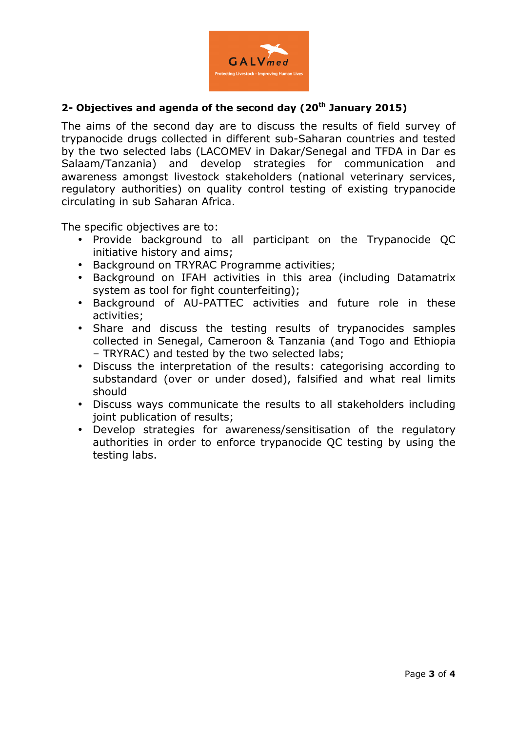

## **2- Objectives and agenda of the second day (20th January 2015)**

The aims of the second day are to discuss the results of field survey of trypanocide drugs collected in different sub-Saharan countries and tested by the two selected labs (LACOMEV in Dakar/Senegal and TFDA in Dar es Salaam/Tanzania) and develop strategies for communication and awareness amongst livestock stakeholders (national veterinary services, regulatory authorities) on quality control testing of existing trypanocide circulating in sub Saharan Africa.

The specific objectives are to:

- Provide background to all participant on the Trypanocide QC initiative history and aims;
- Background on TRYRAC Programme activities;
- Background on IFAH activities in this area (including Datamatrix system as tool for fight counterfeiting);
- Background of AU-PATTEC activities and future role in these activities;
- Share and discuss the testing results of trypanocides samples collected in Senegal, Cameroon & Tanzania (and Togo and Ethiopia – TRYRAC) and tested by the two selected labs;
- Discuss the interpretation of the results: categorising according to substandard (over or under dosed), falsified and what real limits should
- Discuss ways communicate the results to all stakeholders including joint publication of results;
- Develop strategies for awareness/sensitisation of the regulatory authorities in order to enforce trypanocide QC testing by using the testing labs.